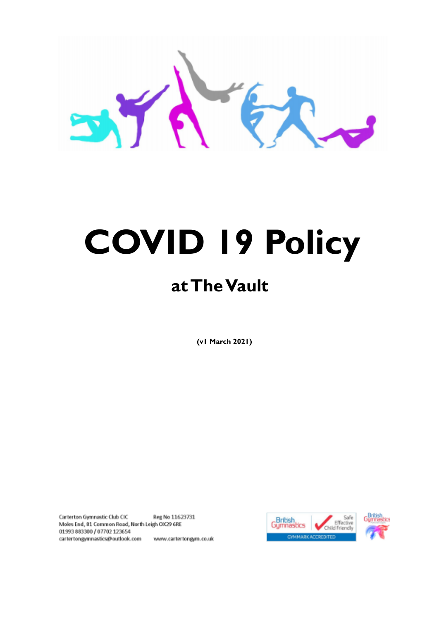# **COVID 19 Policy**

# **atTheVault**

**(v1 March 2021)**

Carterton Gymnastic Club CIC Reg No 11623731 Moles End, 81 Common Road, North Leigh OX29 6RE 01993883300 / 07702 123654 cartertongymnastics@outlook.com www.cartertongym.co.uk



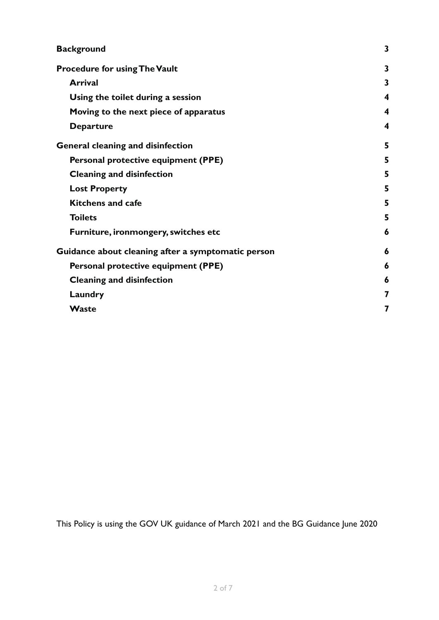| <b>Background</b>                                  | 3 |
|----------------------------------------------------|---|
| <b>Procedure for using The Vault</b>               | 3 |
| <b>Arrival</b>                                     | 3 |
| Using the toilet during a session                  | 4 |
| Moving to the next piece of apparatus              | 4 |
| <b>Departure</b>                                   | 4 |
| <b>General cleaning and disinfection</b>           | 5 |
| Personal protective equipment (PPE)                | 5 |
| <b>Cleaning and disinfection</b>                   | 5 |
| <b>Lost Property</b>                               | 5 |
| <b>Kitchens and cafe</b>                           | 5 |
| <b>Toilets</b>                                     | 5 |
| Furniture, ironmongery, switches etc               | 6 |
| Guidance about cleaning after a symptomatic person | 6 |
| Personal protective equipment (PPE)                | 6 |
| <b>Cleaning and disinfection</b>                   | 6 |
| Laundry                                            | 7 |
| Waste                                              | 7 |

This Policy is using the GOV UK guidance of March 2021 and the BG Guidance June 2020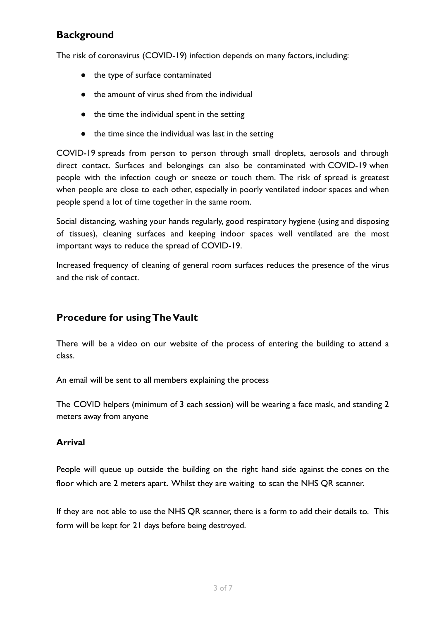# <span id="page-2-0"></span>**Background**

The risk of coronavirus (COVID-19) infection depends on many factors, including:

- the type of surface contaminated
- the amount of virus shed from the individual
- the time the individual spent in the setting
- the time since the individual was last in the setting

COVID-19 spreads from person to person through small droplets, aerosols and through direct contact. Surfaces and belongings can also be contaminated with COVID-19 when people with the infection cough or sneeze or touch them. The risk of spread is greatest when people are close to each other, especially in poorly ventilated indoor spaces and when people spend a lot of time together in the same room.

Social distancing, washing your hands regularly, good respiratory hygiene (using and disposing of tissues), cleaning surfaces and keeping indoor spaces well ventilated are the most important ways to reduce the spread of COVID-19.

Increased frequency of cleaning of general room surfaces reduces the presence of the virus and the risk of contact.

# <span id="page-2-1"></span>**Procedure for usingTheVault**

There will be a video on our website of the process of entering the building to attend a class.

An email will be sent to all members explaining the process

The COVID helpers (minimum of 3 each session) will be wearing a face mask, and standing 2 meters away from anyone

#### <span id="page-2-2"></span>**Arrival**

People will queue up outside the building on the right hand side against the cones on the floor which are 2 meters apart. Whilst they are waiting to scan the NHS QR scanner.

If they are not able to use the NHS QR scanner, there is a form to add their details to. This form will be kept for 21 days before being destroyed.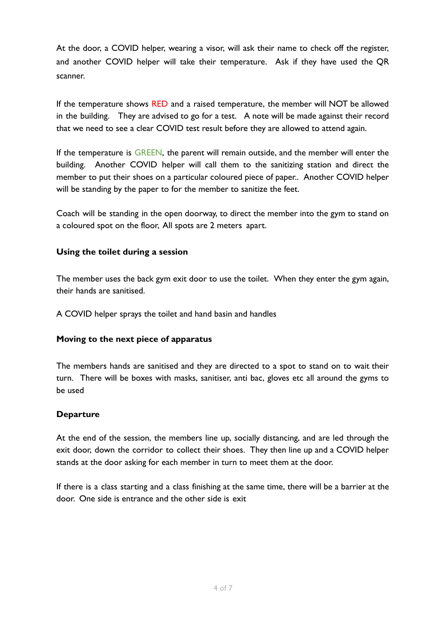At the door, a COVID helper, wearing a visor, will ask their name to check off the register, and another COVID helper will take their temperature. Ask if they have used the QR scanner.

If the temperature shows RED and a raised temperature, the member will NOT be allowed in the building. They are advised to go for a test. A note will be made against their record that we need to see a clear COVID test result before they are allowed to attend again.

If the temperature is GREEN, the parent will remain outside, and the member will enter the building. Another COVID helper will call them to the sanitizing station and direct the member to put their shoes on a particular coloured piece of paper.. Another COVID helper will be standing by the paper to for the member to sanitize the feet.

Coach will be standing in the open doorway, to direct the member into the gym to stand on a coloured spot on the floor, All spots are 2 meters apart.

#### <span id="page-3-0"></span>**Using the toilet during a session**

The member uses the back gym exit door to use the toilet. When they enter the gym again, their hands are sanitised.

A COVID helper sprays the toilet and hand basin and handles

#### <span id="page-3-1"></span>**Moving to the next piece of apparatus**

The members hands are sanitised and they are directed to a spot to stand on to wait their turn. There will be boxes with masks, sanitiser, anti bac, gloves etc all around the gyms to be used

#### <span id="page-3-2"></span>**Departure**

At the end of the session, the members line up, socially distancing, and are led through the exit door, down the corridor to collect their shoes. They then line up and a COVID helper stands at the door asking for each member in turn to meet them at the door.

If there is a class starting and a class finishing at the same time, there will be a barrier at the door. One side is entrance and the other side is exit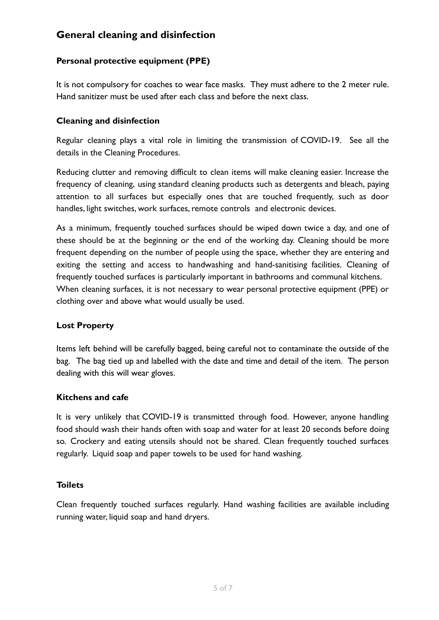# <span id="page-4-0"></span>**General cleaning and disinfection**

#### <span id="page-4-1"></span>**Personal protective equipment (PPE)**

It is not compulsory for coaches to wear face masks. They must adhere to the 2 meter rule. Hand sanitizer must be used after each class and before the next class.

#### <span id="page-4-2"></span>**Cleaning and disinfection**

Regular cleaning plays a vital role in limiting the transmission of COVID-19. See all the details in the Cleaning Procedures.

Reducing clutter and removing difficult to clean items will make cleaning easier. Increase the frequency of cleaning, using standard cleaning products such as detergents and bleach, paying attention to all surfaces but especially ones that are touched frequently, such as door handles, light switches, work surfaces, remote controls and electronic devices.

As a minimum, frequently touched surfaces should be wiped down twice a day, and one of these should be at the beginning or the end of the working day. Cleaning should be more frequent depending on the number of people using the space, whether they are entering and exiting the setting and access to handwashing and hand-sanitising facilities. Cleaning of frequently touched surfaces is particularly important in bathrooms and communal kitchens. When cleaning surfaces, it is not necessary to wear personal protective equipment (PPE) or clothing over and above what would usually be used.

#### <span id="page-4-3"></span>**Lost Property**

Items left behind will be carefully bagged, being careful not to contaminate the outside of the bag. The bag tied up and labelled with the date and time and detail of the item. The person dealing with this will wear gloves.

#### <span id="page-4-4"></span>**Kitchens and cafe**

It is very unlikely that COVID-19 is transmitted through food. However, anyone handling food should wash their hands often with soap and water for at least 20 seconds before doing so. Crockery and eating utensils should not be shared. Clean frequently touched surfaces regularly. Liquid soap and paper towels to be used for hand washing.

#### <span id="page-4-5"></span>**Toilets**

Clean frequently touched surfaces regularly. Hand washing facilities are available including running water, liquid soap and hand dryers.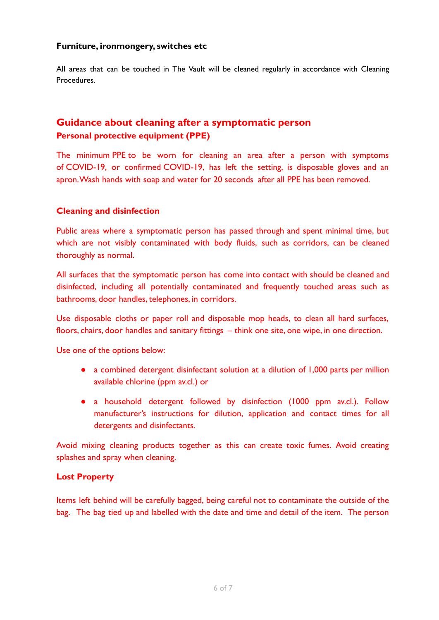#### <span id="page-5-0"></span>**Furniture, ironmongery, switches etc**

All areas that can be touched in The Vault will be cleaned regularly in accordance with Cleaning Procedures.

### <span id="page-5-2"></span><span id="page-5-1"></span>**Guidance about cleaning after a symptomatic person Personal protective equipment (PPE)**

The minimum PPE to be worn for cleaning an area after a person with symptoms of COVID-19, or confirmed COVID-19, has left the setting, is disposable gloves and an apron.Wash hands with soap and water for 20 seconds after all PPE has been removed.

#### <span id="page-5-3"></span>**Cleaning and disinfection**

Public areas where a symptomatic person has passed through and spent minimal time, but which are not visibly contaminated with body fluids, such as corridors, can be cleaned thoroughly as normal.

All surfaces that the symptomatic person has come into contact with should be cleaned and disinfected, including all potentially contaminated and frequently touched areas such as bathrooms, door handles, telephones, in corridors.

Use disposable cloths or paper roll and disposable mop heads, to clean all hard surfaces, floors, chairs, door handles and sanitary fittings – think one site, one wipe, in one direction.

Use one of the options below:

- a combined detergent disinfectant solution at a dilution of 1,000 parts per million available chlorine (ppm av.cl.) or
- a household detergent followed by disinfection (1000 ppm av.cl.). Follow manufacturer's instructions for dilution, application and contact times for all detergents and disinfectants.

Avoid mixing cleaning products together as this can create toxic fumes. Avoid creating splashes and spray when cleaning.

#### **Lost Property**

Items left behind will be carefully bagged, being careful not to contaminate the outside of the bag. The bag tied up and labelled with the date and time and detail of the item. The person